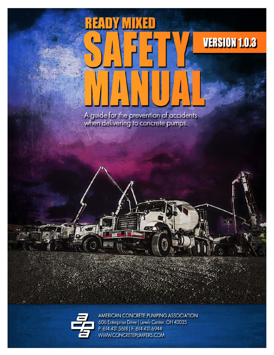# VERSION 1.0.3

A guide for the prevention of accidents when delivering to concrete pumps.



AMERICAN CONCRETE PUMPING ASSOCIATION 606 Enterprise Drive | Lewis Center, OH 43035 P: 614.431.5618 | F: 614.431.6944 WWW.CONCRETEPUMPERS.COM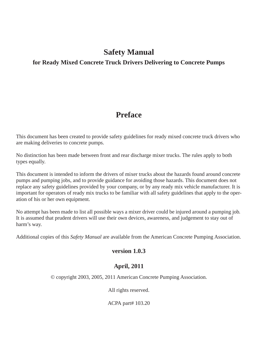#### **Safety Manual**

#### **for Ready Mixed Concrete Truck Drivers Delivering to Concrete Pumps**

#### **Preface**

This document has been created to provide safety guidelines for ready mixed concrete truck drivers who are making deliveries to concrete pumps.

No distinction has been made between front and rear discharge mixer trucks. The rules apply to both types equally.

This document is intended to inform the drivers of mixer trucks about the hazards found around concrete pumps and pumping jobs, and to provide guidance for avoiding those hazards. This document does not replace any safety guidelines provided by your company, or by any ready mix vehicle manufacturer. It is important for operators of ready mix trucks to be familiar with all safety guidelines that apply to the operation of his or her own equipment.

No attempt has been made to list all possible ways a mixer driver could be injured around a pumping job. It is assumed that prudent drivers will use their own devices, awareness, and judgement to stay out of harm's way.

Additional copies of this *Safety Manual* are available from the American Concrete Pumping Association.

#### <span id="page-1-0"></span>**version 1.0.3**

#### **April, 2011**

© copyright 2003, 2005, 2011 American Concrete Pumping Association.

All rights reserved.

ACPA part# 103.20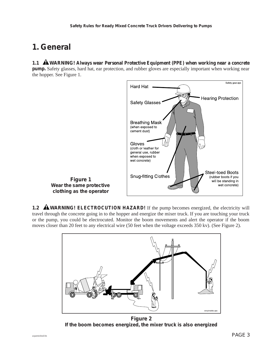## **1. General**

**1.1 WARNING! Always wear Personal Protective Equipment (PPE) when working near a concrete pump.** Safety glasses, hard hat, ear protection, and rubber gloves are especially important when working near the hopper. See Figure 1.



**Figure 1 Wear the same protective clothing as the operator**

**1.2 AWARNING! ELECTROCUTION HAZARD!** If the pump becomes energized, the electricity will travel through the concrete going in to the hopper and energize the mixer truck. If you are touching your truck or the pump, you could be electrocuted. Monitor the boom movements and alert the operator if the boom moves closer than 20 feet to any electrical wire (50 feet when the voltage exceeds 350 kv). (See Figure 2).



**Figure 2 If the boom becomes energized, the mixer truck is also energized**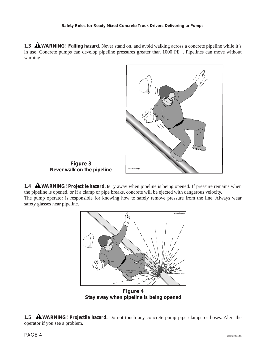**1.3 AWARNING!** Falling hazard. Never stand on, and avoid walking across a concrete pipeline while it's in use. Concrete pumps can develop pipeline pressures greater than 1000 PS !. Pipelines can move without warning.



**Figure 3 Never walk on the pipeline**

**1.4 AWARNING!** Projectile hazard. So y away when pipeline is being opened. If pressure remains when the pipeline is opened, or if a clamp or pipe breaks, concrete will be ejected with dangerous velocity. The pump operator is responsible for knowing how to safely remove pressure from the line. Always wear safety glasses near pipeline.



**Stay away when pipeline is being opened**

**1.5 AWARNING!** Projectile hazard. Do not touch any concrete pump pipe clamps or hoses. Alert the operator if you see a problem.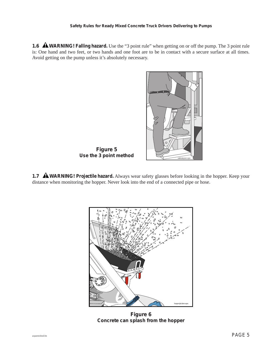**1.6 AWARNING! Falling hazard.** Use the "3 point rule" when getting on or off the pump. The 3 point rule is: One hand and two feet, or two hands and one foot are to be in contact with a secure surface at all times. Avoid getting on the pump unless it's absolutely necessary.



**1.7 AWARNING!** Projectile hazard. Always wear safety glasses before looking in the hopper. Keep your distance when monitoring the hopper. Never look into the end of a connected pipe or hose.



**Figure 6 Concrete can splash from the hopper**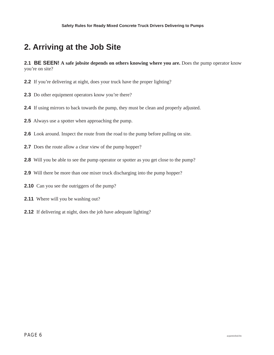### **2. Arriving at the Job Site**

**2.1 BE SEEN! A safe jobsite depends on others knowing where you are.** Does the pump operator know you're on site?

- **2.2** If you're delivering at night, does your truck have the proper lighting?
- **2.3** Do other equipment operators know you're there?
- **2.4** If using mirrors to back towards the pump, they must be clean and properly adjusted.
- **2.5** Always use a spotter when approaching the pump.
- **2.6** Look around. Inspect the route from the road to the pump before pulling on site.
- **2.7** Does the route allow a clear view of the pump hopper?
- **2.8** Will you be able to see the pump operator or spotter as you get close to the pump?
- **2.9** Will there be more than one mixer truck discharging into the pump hopper?
- **2.10** Can you see the outriggers of the pump?
- **2.11** Where will you be washing out?
- **2.12** If delivering at night, does the job have adequate lighting?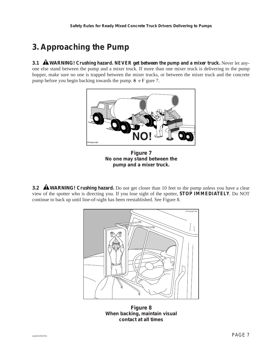### **3. Approaching the Pump**

**3.1 AWARNING!** Crushing hazard. NEVER get between the pump and a mixer truck. Never let anyone else stand between the pump and a mixer truck. If more than one mixer truck is delivering to the pump hopper, make sure no one is trapped between the mixer trucks, or between the mixer truck and the concrete pump before you begin backing towards the pump.  $S \text{ e F}$  gure 7.



**Figure 7 No one may stand between the pump and a mixer truck.**

**3.2 A WARNING!** Crushing hazard. Do not get closer than 10 feet to the pump unless you have a clear view of the spotter who is directing you. If you lose sight of the spotter, **STOP IMMEDIATELY**. Do NOT continue to back up until line-of-sight has been reestablished. See Figure 8.



**Figure 8 When backing, maintain visual contact at all times**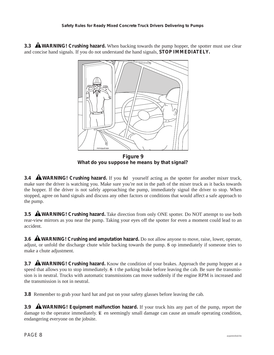**3.3 AWARNING!** Crushing hazard. When backing towards the pump hopper, the spotter must use clear and concise hand signals. If you do not understand the hand signals, **STOP IMMEDIATELY.** 



**What do you suppose he means by that signal?**

**3.4 AWARNING!** Crushing hazard. If you fid yourself acting as the spotter for another mixer truck, make sure the driver is watching you. Make sure you're not in the path of the mixer truck as it backs towards the hopper. If the driver is not safely approaching the pump, immediately signal the driver to stop. When stopped, agree on hand signals and discuss any other factors or conditions that would affect a safe approach to the pump.

**3.5 AWARNING!** Crushing hazard. Take direction from only ONE spotter. Do NOT attempt to use both rear-view mirrors as you near the pump. Taking your eyes off the spotter for even a moment could lead to an accident.

**3.6 AWARNING!** Crushing and amputation hazard. Do not allow anyone to move, raise, lower, operate, adjust, or unfold the discharge chute while backing towards the pump. S op immediately if someone tries to make a chute adjustment.

**3.7 AWARNING!** Crushing hazard. Know the condition of your brakes. Approach the pump hopper at a speed that allows you to stop immediately.  $\delta$  t the parking brake before leaving the cab. Be sure the transmission is in neutral. Trucks with automatic transmissions can move suddenly if the engine RPM is increased and the transmission is not in neutral.

**3.8** Remember to grab your hard hat and put on your safety glasses before leaving the cab.

**3.9 AWARNING!** Equipment malfunction hazard. If your truck hits any part of the pump, report the damage to the operator immediately.  $E$  en seemingly small damage can cause an unsafe operating condition, endangering everyone on the jobsite.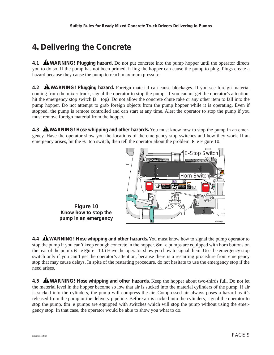### **4. Delivering the Concrete**

**4.1 AWARNING!** Plugging hazard. Do not put concrete into the pump hopper until the operator directs you to do so. If the pump has not been primed, fil ling the hopper can cause the pump to plug. Plugs create a hazard because they cause the pump to reach maximum pressure.

**4.2 AWARNING!** Plugging hazard. Foreign material can cause blockages. If you see foreign material coming from the mixer truck, signal the operator to stop the pump. If you cannot get the operator's attention, hit the emergency stop switch  $\bf{E}$  top). Do not allow the concrete chute rake or any other item to fall into the pump hopper. Do not attempt to grab foreign objects from the pump hopper while it is operating. Even if stopped, the pump is remote controlled and can start at any time. Alert the operator to stop the pump if you must remove foreign material from the hopper.

**4.3 AWARNING!** Hose whipping and other hazards. You must know how to stop the pump in an emergency. Have the operator show you the locations of the emergency stop switches and how they work. If an emergency arises, hit the  $\overline{B}$ -top switch, then tell the operator about the problem.  $\overline{S}$  e  $\overline{F}$  gure 10.



**Figure 10 Know how to stop the pump in an emergency**

**4.4 A WARNING!** Hose whipping and other hazards. You must know how to signal the pump operator to stop the pump if you can't keep enough concrete in the hopper. Some pumps are equipped with horn buttons on the rear of the pump.  $\beta$  e Figure 10.) Have the operator show you how to signal them. Use the emergency stop switch only if you can't get the operator's attention, because there is a restarting procedure from emergency stop that may cause delays. In spite of the restarting procedure, do not hesitate to use the emergency stop if the need arises.

**4.5 AWARNING!** Hose whipping and other hazards. Keep the hopper about two-thirds full. Do not let the material level in the hopper become so low that air is sucked into the material cylinders of the pump. If air is sucked into the cylinders, the pump will compress the air. Compressed air always poses a hazard as it's released from the pump or the delivery pipeline. Before air is sucked into the cylinders, signal the operator to stop the pump. Som e pumps are equipped with switches which will stop the pump without using the emergency stop. In that case, the operator would be able to show you what to do.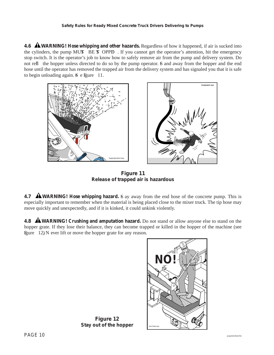#### **Safety Rules for Ready Mixed Concrete Truck Drivers Delivering to Pumps**

**4.6 A WARNING!** Hose whipping and other hazards. Regardless of how it happened, if air is sucked into the cylinders, the pump MUST BE ST OPPED. If you cannot get the operator's attention, hit the emergency stop switch. It is the operator's job to know how to safely remove air from the pump and delivery system. Do not refl the hopper unless directed to do so by the pump operator. S and away from the hopper and the end hose until the operator has removed the trapped air from the delivery system and has signaled you that it is safe to begin unloading again.  $S$  e Figure 11.



**Figure 11 Release of trapped air is hazardous**

**4.7 AWARNING!** Hose whipping hazard. S ay away from the end hose of the concrete pump. This is especially important to remember when the material is being placed close to the mixer truck. The tip hose may move quickly and unexpectedly, and if it is kinked, it could unkink violently.

**4.8 WARNING!** Crushing and amputation hazard. Do not stand or allow anyone else to stand on the hopper grate. If they lose their balance, they can become trapped or killed in the hopper of the machine ( see Figure 12). N ever lift or move the hopper grate for any reason.



**Figure 12 Stay out of the hopper**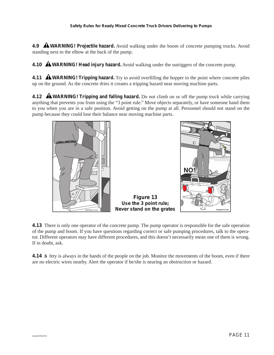**4.9 AWARNING!** Projectile hazard. Avoid walking under the boom of concrete pumping trucks. Avoid standing next to the elbow at the back of the pump.

**4.10 WARNING! Head injury hazard.** Avoid walking under the outriggers of the concrete pump.

**4.11 AWARNING!** Tripping hazard. Try to avoid overfilling the hopper to the point where concrete piles up on the ground. As the concrete dries it creates a tripping hazard near moving machine parts.

**4.12 AWARNING!** Tripping and falling hazard. Do not climb on or off the pump truck while carrying anything that prevents you from using the "3 point rule." Move objects separately, or have someone hand them to you when you are in a safe position. Avoid getting on the pump at all. Personnel should not stand on the pump because they could lose their balance near moving machine parts.



 $\cap$ NO hoppgrtsm2.

**4.13** There is only one operator of the concrete pump. The pump operator is responsible for the safe operation of the pump and boom. If you have questions regarding correct or safe pumping procedures, talk to the operator. Different operators may have different procedures, and this doesn't necessarily mean one of them is wrong. If in doubt, ask.

**Figure 13 Use the 3 point rule; Never stand on the grates**

**4.14** S fety is always in the hands of the people on the job. Monitor the movements of the boom, even if there are no electric wires nearby. Alert the operator if he/she is nearing an obstruction or hazard.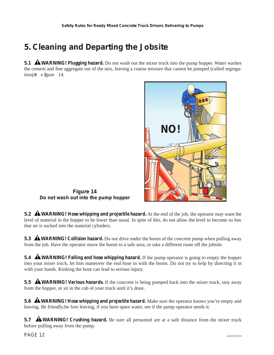### **5. Cleaning and Departing the Jobsite**

**5.1 AWARNING!** Plugging hazard. Do not wash out the mixer truck into the pump hopper. Water washes the cement and fine aggregate out of the mix, leaving a coarse mixture that cannot be pumped (called segregation) $\delta$  e Figure 14.



**Figure 14 Do not wash out into the pump hopper**

**5.2 WARNING! Hose whipping and projectile hazard.** At the end of the job, the operator may want the level of material in the hopper to be lower than usual. In spite of this, do not allow the level to become so low that air is sucked into the material cylinders.

**5.3 A WARNING!** Collision hazard. Do not drive under the boom of the concrete pump when pulling away from the job. Have the operator move the boom to a safe area, or take a different route off the jobsite.

**5.4 AWARNING!** Falling and hose whipping hazard. If the pump operator is going to empty the hopper into your mixer truck, let him maneuver the end hose in with the boom. Do not try to help by directing it in with your hands. Kinking the hose can lead to serious injury.

**5.5 AWARNING!** Various hazards. If the concrete is being pumped back into the mixer truck, stay away from the hopper, or sit in the cab of your truck until it's done.

**5.6 A WARNING!** Hose whipping and projectile hazard. Make sure the operator knows you're empty and leaving. Be friendly; be fore leaving, if you have spare water, see if the pump operator needs it.

**5.7 AWARNING!** Crushing hazard. Be sure all personnel are at a safe distance from the mixer truck before pulling away from the pump.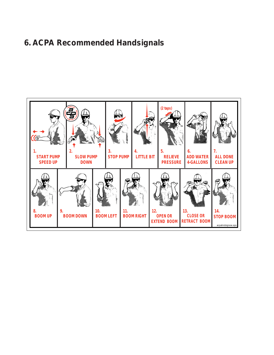## **6. ACPA Recommended Handsignals**